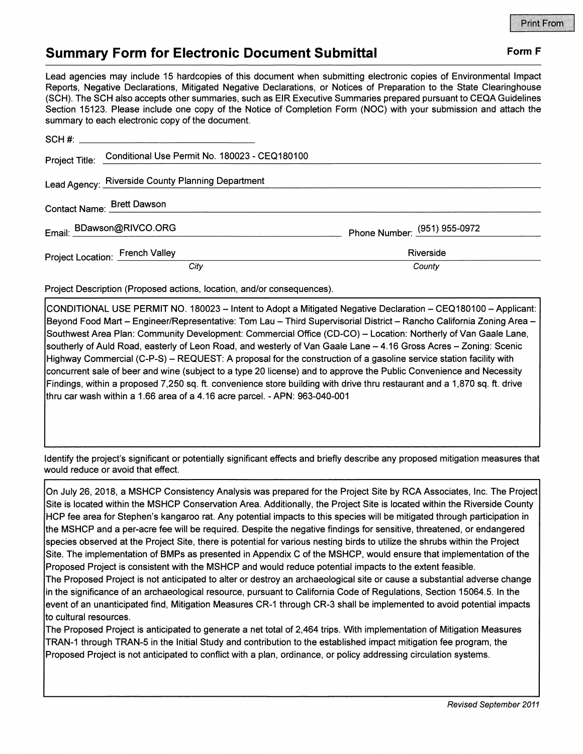## **Summary Form for Electronic Document Submittal Form F Form F**

Lead agencies may include 15 hardcopies of this document when submitting electronic copies of Environmental Impact Reports, Negative Declarations, Mitigated Negative Declarations, or Notices of Preparation to the State Clearinghouse (SCH). The SCH also accepts other summaries, such as EIR Executive Summaries prepared pursuant to CEQA Guidelines Section 15123. Please include one copy of the Notice of Completion Form (NOC) with your submission and attach the summary to each electronic copy of the document.

| <b>Call and A Computer Controller Copy of the accuration</b> |                                                              |                              |
|--------------------------------------------------------------|--------------------------------------------------------------|------------------------------|
|                                                              |                                                              |                              |
|                                                              | Project Title: Conditional Use Permit No. 180023 - CEQ180100 |                              |
|                                                              | Lead Agency: Riverside County Planning Department            |                              |
|                                                              | Contact Name: Brett Dawson                                   |                              |
|                                                              | Email: BDawson@RIVCO.ORG                                     | Phone Number: (951) 955-0972 |
|                                                              | <b>Project Location: French Valley</b>                       | Riverside                    |
|                                                              | City                                                         | County                       |

Project Description (Proposed actions, location, and/or consequences).

CONDITIONAL USE PERMIT NO. 180023 - Intent to Adopt a Mitigated Negative Declaration - CEQ180100 - Applicant: Beyond Food Mart - Engineer/Representative: Tom Lau - Third Supervisorial District - Rancho California Zoning Area -Southwest Area Plan: Community Development: Commercial Office (CD-CO) - Location: Northerly of Van Gaale Lane, southerly of Auld Road, easterly of Leon Road, and westerly of Van Gaale Lane - 4.16 Gross Acres - Zoning: Scenic Highway Commercial (C-P-S) - REQUEST: A proposal for the construction of a gasoline service station facility with concurrent sale of beer and wine (subject to a type 20 license) and to approve the Public Convenience and Necessity Findings, within a proposed 7,250 sq. ft. convenience store building with drive thru restaurant and a 1,870 sq. ft. drive thru car wash within a 1.66 area of a 4.16 acre parcel. - APN: 963-040-001

Identify the project's significant or potentially significant effects and briefly describe any proposed mitigation measures that would reduce or avoid that effect.

On July 26, 2018, a MSHCP Consistency Analysis was prepared for the Project Site by RCA Associates, Inc. The Project Site is located within the MSHCP Conservation Area. Additionally, the Project Site is located within the Riverside County HCP fee area for Stephen's kangaroo rat. Any potential impacts to this species will be mitigated through participation in the MSHCP and a per-acre fee will be required. Despite the negative findings for sensitive, threatened, or endangered species observed at the Project Site, there is potential for various nesting birds to utilize the shrubs within the Project Site. The implementation of BMPs as presented in Appendix C of the MSHCP, would ensure that implementation of the Proposed Project is consistent with the MSHCP and would reduce potential impacts to the extent feasible.

The Proposed Project is not anticipated to alter or destroy an archaeological site or cause a substantial adverse change in the significance of an archaeological resource, pursuant to California Code of Regulations, Section 15064.5. In the event of an unanticipated find, Mitigation Measures CR-1 through CR-3 shall be implemented to avoid potential impacts to cultural resources.

The Proposed Project is anticipated to generate a net total of 2,464 trips. With implementation of Mitigation Measures TRAN-1 through TRAN-5 in the Initial Study and contribution to the established impact mitigation fee program, the Proposed Project is not anticipated to conflict with a plan, ordinance, or policy addressing circulation systems.